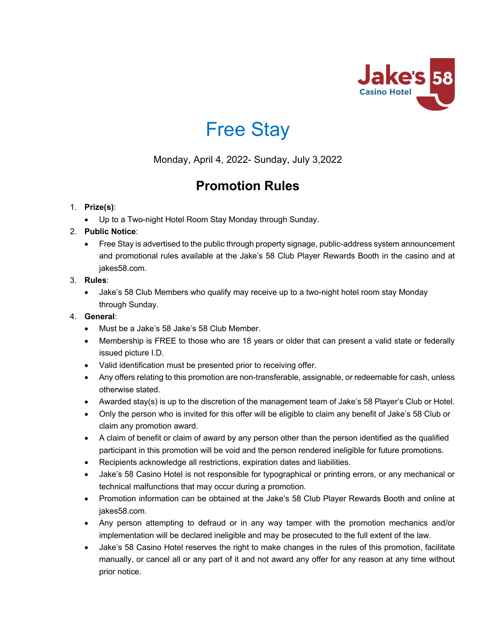



Monday, April 4, 2022- Sunday, July 3,2022

# **Promotion Rules**

# 1. **Prize(s)**:

• Up to a Two-night Hotel Room Stay Monday through Sunday.

# 2. **Public Notice**:

• Free Stay is advertised to the public through property signage, public-address system announcement and promotional rules available at the Jake's 58 Club Player Rewards Booth in the casino and at jakes58.com.

# 3. **Rules**:

• Jake's 58 Club Members who qualify may receive up to a two-night hotel room stay Monday through Sunday.

# 4. **General**:

- Must be a Jake's 58 Jake's 58 Club Member.
- Membership is FREE to those who are 18 years or older that can present a valid state or federally issued picture I.D.
- Valid identification must be presented prior to receiving offer.
- Any offers relating to this promotion are non-transferable, assignable, or redeemable for cash, unless otherwise stated.
- Awarded stay(s) is up to the discretion of the management team of Jake's 58 Player's Club or Hotel.
- Only the person who is invited for this offer will be eligible to claim any benefit of Jake's 58 Club or claim any promotion award.
- A claim of benefit or claim of award by any person other than the person identified as the qualified participant in this promotion will be void and the person rendered ineligible for future promotions.
- Recipients acknowledge all restrictions, expiration dates and liabilities.
- Jake's 58 Casino Hotel is not responsible for typographical or printing errors, or any mechanical or technical malfunctions that may occur during a promotion.
- Promotion information can be obtained at the Jake's 58 Club Player Rewards Booth and online at jakes58.com.
- Any person attempting to defraud or in any way tamper with the promotion mechanics and/or implementation will be declared ineligible and may be prosecuted to the full extent of the law.
- Jake's 58 Casino Hotel reserves the right to make changes in the rules of this promotion, facilitate manually, or cancel all or any part of it and not award any offer for any reason at any time without prior notice.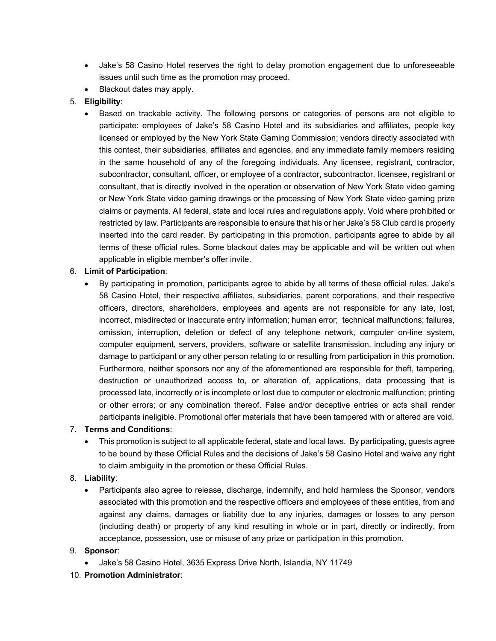- Jake's 58 Casino Hotel reserves the right to delay promotion engagement due to unforeseeable issues until such time as the promotion may proceed.
- Blackout dates may apply.

## 5. **Eligibility**:

• Based on trackable activity. The following persons or categories of persons are not eligible to participate: employees of Jake's 58 Casino Hotel and its subsidiaries and affiliates, people key licensed or employed by the New York State Gaming Commission; vendors directly associated with this contest, their subsidiaries, affiliates and agencies, and any immediate family members residing in the same household of any of the foregoing individuals. Any licensee, registrant, contractor, subcontractor, consultant, officer, or employee of a contractor, subcontractor, licensee, registrant or consultant, that is directly involved in the operation or observation of New York State video gaming or New York State video gaming drawings or the processing of New York State video gaming prize claims or payments. All federal, state and local rules and regulations apply. Void where prohibited or restricted by law. Participants are responsible to ensure that his or her Jake's 58 Club card is properly inserted into the card reader. By participating in this promotion, participants agree to abide by all terms of these official rules. Some blackout dates may be applicable and will be written out when applicable in eligible member's offer invite.

#### 6. **Limit of Participation**:

• By participating in promotion, participants agree to abide by all terms of these official rules. Jake's 58 Casino Hotel, their respective affiliates, subsidiaries, parent corporations, and their respective officers, directors, shareholders, employees and agents are not responsible for any late, lost, incorrect, misdirected or inaccurate entry information; human error; technical malfunctions; failures, omission, interruption, deletion or defect of any telephone network, computer on-line system, computer equipment, servers, providers, software or satellite transmission, including any injury or damage to participant or any other person relating to or resulting from participation in this promotion. Furthermore, neither sponsors nor any of the aforementioned are responsible for theft, tampering, destruction or unauthorized access to, or alteration of, applications, data processing that is processed late, incorrectly or is incomplete or lost due to computer or electronic malfunction; printing or other errors; or any combination thereof. False and/or deceptive entries or acts shall render participants ineligible. Promotional offer materials that have been tampered with or altered are void.

#### 7. **Terms and Conditions**:

• This promotion is subject to all applicable federal, state and local laws. By participating, guests agree to be bound by these Official Rules and the decisions of Jake's 58 Casino Hotel and waive any right to claim ambiguity in the promotion or these Official Rules.

#### 8. **Liability**:

• Participants also agree to release, discharge, indemnify, and hold harmless the Sponsor, vendors associated with this promotion and the respective officers and employees of these entities, from and against any claims, damages or liability due to any injuries, damages or losses to any person (including death) or property of any kind resulting in whole or in part, directly or indirectly, from acceptance, possession, use or misuse of any prize or participation in this promotion.

#### 9. **Sponsor**:

• Jake's 58 Casino Hotel, 3635 Express Drive North, Islandia, NY 11749

#### 10. **Promotion Administrator**: